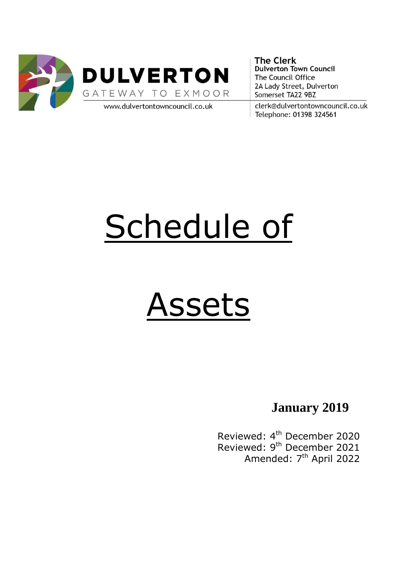

**The Clerk Dulverton Town Council** The Council Office 2A Lady Street, Dulverton Somerset TA22 9BZ

clerk@dulvertontowncouncil.co.uk Telephone: 01398 324561

# Schedule of

## Assets

**January 2019**

Reviewed: 4<sup>th</sup> December 2020 Reviewed: 9<sup>th</sup> December 2021 Amended: 7<sup>th</sup> April 2022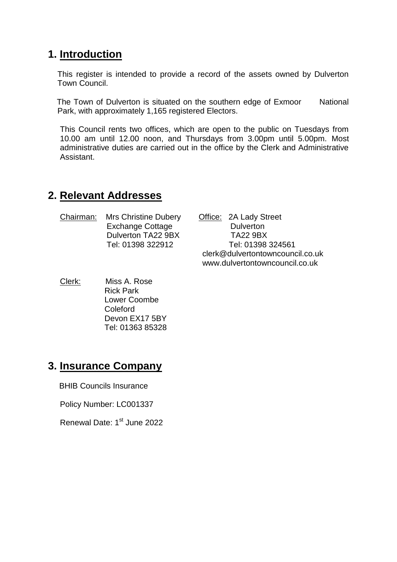#### **1. Introduction**

This register is intended to provide a record of the assets owned by Dulverton Town Council.

The Town of Dulverton is situated on the southern edge of Exmoor National Park, with approximately 1,165 registered Electors.

This Council rents two offices, which are open to the public on Tuesdays from 10.00 am until 12.00 noon, and Thursdays from 3.00pm until 5.00pm. Most administrative duties are carried out in the office by the Clerk and Administrative Assistant.

#### **2. Relevant Addresses**

Chairman: Mrs Christine Dubery Office: 2A Lady Street Exchange Cottage **Dulverton** Dulverton TA22 9BX TA22 9BX

 Tel: 01398 322912 Tel: 01398 324561 clerk@dulvertontowncouncil.co.uk www.dulvertontowncouncil.co.uk

Clerk: Miss A. Rose Rick Park Lower Coombe Coleford Devon EX17 5BY Tel: 01363 85328

#### **3. Insurance Company**

BHIB Councils Insurance

Policy Number: LC001337

Renewal Date: 1<sup>st</sup> June 2022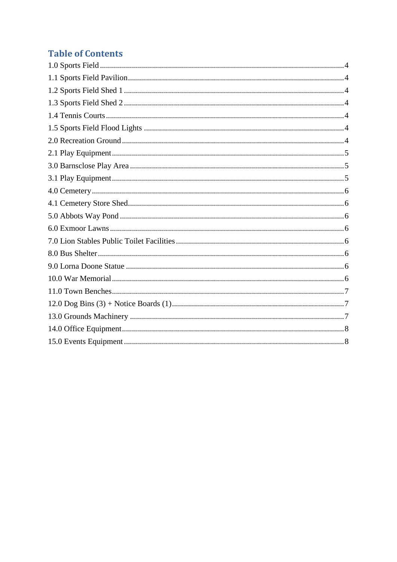### **Table of Contents**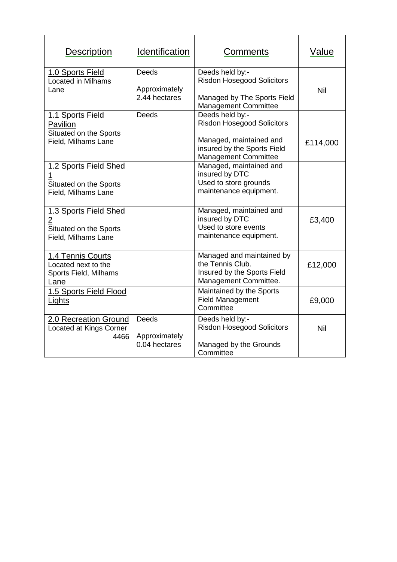<span id="page-3-6"></span><span id="page-3-5"></span><span id="page-3-4"></span><span id="page-3-3"></span><span id="page-3-2"></span><span id="page-3-1"></span><span id="page-3-0"></span>

| <b>Description</b>                                                                       | <b>Identification</b>                          | Comments                                                                                                                               | Value    |
|------------------------------------------------------------------------------------------|------------------------------------------------|----------------------------------------------------------------------------------------------------------------------------------------|----------|
| 1.0 Sports Field<br><b>Located in Milhams</b><br>Lane                                    | <b>Deeds</b><br>Approximately<br>2.44 hectares | Deeds held by:-<br><b>Risdon Hosegood Solicitors</b><br>Managed by The Sports Field<br><b>Management Committee</b>                     | Nil      |
| 1.1 Sports Field<br>Pavilion<br>Situated on the Sports<br>Field, Milhams Lane            | <b>Deeds</b>                                   | Deeds held by:-<br><b>Risdon Hosegood Solicitors</b><br>Managed, maintained and<br>insured by the Sports Field<br>Management Committee | £114,000 |
| 1.2 Sports Field Shed<br>Situated on the Sports<br>Field, Milhams Lane                   |                                                | Managed, maintained and<br>insured by DTC<br>Used to store grounds<br>maintenance equipment.                                           |          |
| 1.3 Sports Field Shed<br>$\overline{2}$<br>Situated on the Sports<br>Field, Milhams Lane |                                                | Managed, maintained and<br>insured by DTC<br>Used to store events<br>maintenance equipment.                                            | £3,400   |
| 1.4 Tennis Courts<br>Located next to the<br>Sports Field, Milhams<br>Lane                |                                                | Managed and maintained by<br>the Tennis Club.<br>Insured by the Sports Field<br>Management Committee.                                  | £12,000  |
| 1.5 Sports Field Flood<br>Lights                                                         |                                                | Maintained by the Sports<br><b>Field Management</b><br>Committee                                                                       | £9,000   |
| 2.0 Recreation Ground<br>Located at Kings Corner<br>4466                                 | <b>Deeds</b><br>Approximately<br>0.04 hectares | Deeds held by:-<br><b>Risdon Hosegood Solicitors</b><br>Managed by the Grounds<br>Committee                                            | Nil      |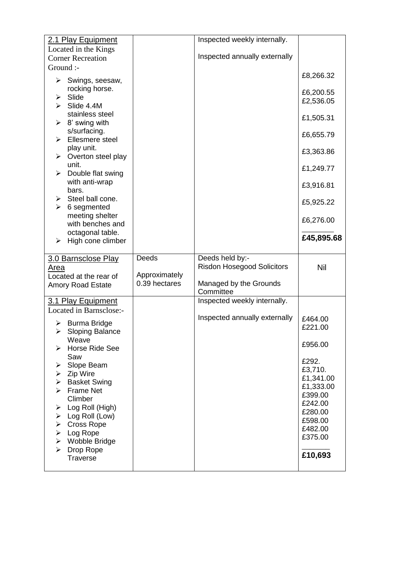<span id="page-4-2"></span><span id="page-4-1"></span><span id="page-4-0"></span>

| 2.1 Play Equipment                                                        |                                | Inspected weekly internally.      |                        |
|---------------------------------------------------------------------------|--------------------------------|-----------------------------------|------------------------|
| Located in the Kings                                                      |                                |                                   |                        |
| <b>Corner Recreation</b>                                                  |                                | Inspected annually externally     |                        |
| Ground :-                                                                 |                                |                                   |                        |
| $\triangleright$ Swings, seesaw,                                          |                                |                                   | £8,266.32              |
| rocking horse.<br>$\triangleright$ Slide                                  |                                |                                   | £6,200.55<br>£2,536.05 |
| $\triangleright$ Slide 4.4M<br>stainless steel                            |                                |                                   | £1,505.31              |
| $\triangleright$ 8' swing with<br>s/surfacing.<br>Ellesmere steel<br>≻    |                                |                                   | £6,655.79              |
| play unit.<br>$\triangleright$ Overton steel play                         |                                |                                   | £3,363.86              |
| unit.<br>Double flat swing<br>≻                                           |                                |                                   | £1,249.77              |
| with anti-wrap<br>bars.                                                   |                                |                                   | £3,916.81              |
| Steel ball cone.<br>➤<br>≻<br>6 segmented                                 |                                |                                   | £5,925.22              |
| meeting shelter<br>with benches and                                       |                                |                                   | £6,276.00              |
| octagonal table.<br>High cone climber<br>≻                                |                                |                                   | £45,895.68             |
|                                                                           |                                |                                   |                        |
|                                                                           |                                |                                   |                        |
| 3.0 Barnsclose Play                                                       | Deeds                          | Deeds held by:-                   |                        |
| Area                                                                      |                                | <b>Risdon Hosegood Solicitors</b> | <b>Nil</b>             |
| Located at the rear of<br><b>Amory Road Estate</b>                        | Approximately<br>0.39 hectares | Managed by the Grounds            |                        |
|                                                                           |                                | Committee                         |                        |
| 3.1 Play Equipment                                                        |                                | Inspected weekly internally.      |                        |
| Located in Barnsclose:-                                                   |                                |                                   |                        |
| <b>Burma Bridge</b>                                                       |                                | Inspected annually externally     | £464.00<br>£221.00     |
| $\triangleright$ Sloping Balance<br>Weave<br>Horse Ride See<br>⋗          |                                |                                   | £956.00                |
| Saw<br>Slope Beam<br>➤                                                    |                                |                                   | £292.<br>£3,710.       |
| $\triangleright$ Zip Wire<br><b>Basket Swing</b><br>$\blacktriangleright$ |                                |                                   | £1,341.00              |
| <b>Frame Net</b><br>➤                                                     |                                |                                   | £1,333.00              |
| Climber                                                                   |                                |                                   | £399.00                |
| Log Roll (High)<br>➤                                                      |                                |                                   | £242.00<br>£280.00     |
| Log Roll (Low)<br>≻                                                       |                                |                                   | £598.00                |
| <b>Cross Rope</b><br>≻<br>➤                                               |                                |                                   | £482.00                |
| Log Rope<br>Wobble Bridge<br>➤                                            |                                |                                   | £375.00                |
| Drop Rope<br>➤<br>Traverse                                                |                                |                                   | £10,693                |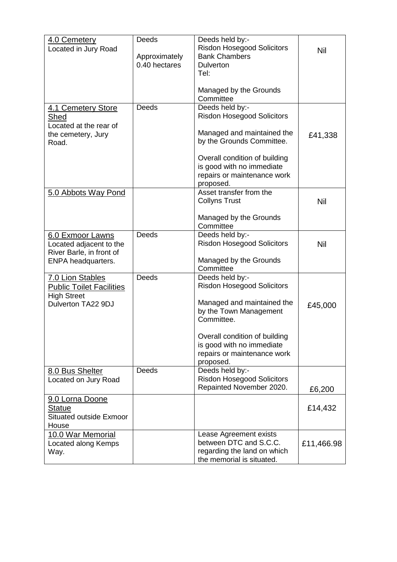<span id="page-5-7"></span><span id="page-5-6"></span><span id="page-5-5"></span><span id="page-5-4"></span><span id="page-5-3"></span><span id="page-5-2"></span><span id="page-5-1"></span><span id="page-5-0"></span>

| 4.0 Cemetery                                          | Deeds                          | Deeds held by:-                                           |            |
|-------------------------------------------------------|--------------------------------|-----------------------------------------------------------|------------|
| Located in Jury Road                                  |                                | <b>Risdon Hosegood Solicitors</b><br><b>Bank Chambers</b> | Nil        |
|                                                       | Approximately<br>0.40 hectares | <b>Dulverton</b>                                          |            |
|                                                       |                                | Tel:                                                      |            |
|                                                       |                                |                                                           |            |
|                                                       |                                | Managed by the Grounds<br>Committee                       |            |
| 4.1 Cemetery Store                                    | <b>Deeds</b>                   | Deeds held by:-                                           |            |
| Shed                                                  |                                | <b>Risdon Hosegood Solicitors</b>                         |            |
| Located at the rear of                                |                                |                                                           |            |
| the cemetery, Jury                                    |                                | Managed and maintained the                                | £41,338    |
| Road.                                                 |                                | by the Grounds Committee.                                 |            |
|                                                       |                                | Overall condition of building                             |            |
|                                                       |                                | is good with no immediate                                 |            |
|                                                       |                                | repairs or maintenance work                               |            |
|                                                       |                                | proposed.                                                 |            |
| 5.0 Abbots Way Pond                                   |                                | Asset transfer from the                                   |            |
|                                                       |                                | <b>Collyns Trust</b>                                      | <b>Nil</b> |
|                                                       |                                | Managed by the Grounds                                    |            |
|                                                       |                                | Committee                                                 |            |
| 6.0 Exmoor Lawns                                      | <b>Deeds</b>                   | Deeds held by:-                                           |            |
| Located adjacent to the                               |                                | <b>Risdon Hosegood Solicitors</b>                         | Nil        |
| River Barle, in front of<br><b>ENPA headquarters.</b> |                                | Managed by the Grounds                                    |            |
|                                                       |                                | Committee                                                 |            |
| 7.0 Lion Stables                                      | <b>Deeds</b>                   | Deeds held by:-                                           |            |
| <b>Public Toilet Facilities</b>                       |                                | <b>Risdon Hosegood Solicitors</b>                         |            |
| <b>High Street</b>                                    |                                | Managed and maintained the                                |            |
| Dulverton TA22 9DJ                                    |                                | by the Town Management                                    | £45,000    |
|                                                       |                                | Committee.                                                |            |
|                                                       |                                |                                                           |            |
|                                                       |                                | Overall condition of building                             |            |
|                                                       |                                | is good with no immediate<br>repairs or maintenance work  |            |
|                                                       |                                | proposed.                                                 |            |
| 8.0 Bus Shelter                                       | <b>Deeds</b>                   | Deeds held by:-                                           |            |
| Located on Jury Road                                  |                                | <b>Risdon Hosegood Solicitors</b>                         |            |
|                                                       |                                | Repainted November 2020.                                  | £6,200     |
| 9.0 Lorna Doone                                       |                                |                                                           |            |
| Statue                                                |                                |                                                           | £14,432    |
| <b>Situated outside Exmoor</b>                        |                                |                                                           |            |
| House<br>10.0 War Memorial                            |                                | Lease Agreement exists                                    |            |
| Located along Kemps                                   |                                | between DTC and S.C.C.                                    | £11,466.98 |
| Way.                                                  |                                | regarding the land on which                               |            |
|                                                       |                                | the memorial is situated.                                 |            |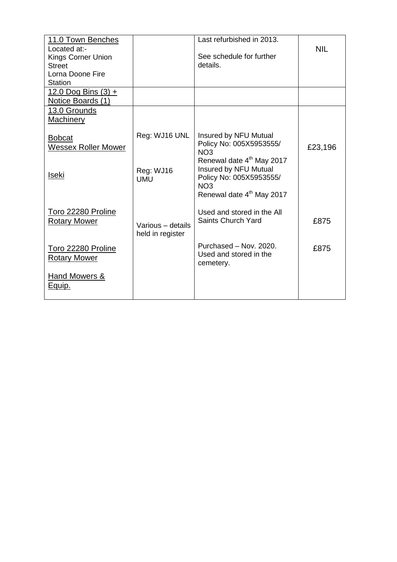<span id="page-6-2"></span><span id="page-6-1"></span><span id="page-6-0"></span>

| 11.0 Town Benches                         |                                       | Last refurbished in 2013.                                                                                                                             |            |
|-------------------------------------------|---------------------------------------|-------------------------------------------------------------------------------------------------------------------------------------------------------|------------|
| Located at:-                              |                                       |                                                                                                                                                       | <b>NIL</b> |
| Kings Corner Union                        |                                       | See schedule for further<br>details.                                                                                                                  |            |
| <b>Street</b><br>Lorna Doone Fire         |                                       |                                                                                                                                                       |            |
| Station                                   |                                       |                                                                                                                                                       |            |
| 12.0 Dog Bins $(3) +$                     |                                       |                                                                                                                                                       |            |
| Notice Boards (1)                         |                                       |                                                                                                                                                       |            |
| 13.0 Grounds                              |                                       |                                                                                                                                                       |            |
| <b>Machinery</b>                          |                                       |                                                                                                                                                       |            |
| <b>Bobcat</b><br>Wessex Roller Mower      | Reg: WJ16 UNL                         | Insured by NFU Mutual<br>Policy No: 005X5953555/<br>NO <sub>3</sub>                                                                                   | £23,196    |
| <u>Iseki</u>                              | Reg: WJ16<br><b>UMU</b>               | Renewal date 4 <sup>th</sup> May 2017<br>Insured by NFU Mutual<br>Policy No: 005X5953555/<br>NO <sub>3</sub><br>Renewal date 4 <sup>th</sup> May 2017 |            |
| Toro 22280 Proline<br><b>Rotary Mower</b> | Various - details<br>held in register | Used and stored in the All<br>Saints Church Yard                                                                                                      | £875       |
| Toro 22280 Proline<br><b>Rotary Mower</b> |                                       | Purchased - Nov. 2020.<br>Used and stored in the<br>cemetery.                                                                                         | £875       |
| <b>Hand Mowers &amp;</b><br><u>Equip.</u> |                                       |                                                                                                                                                       |            |